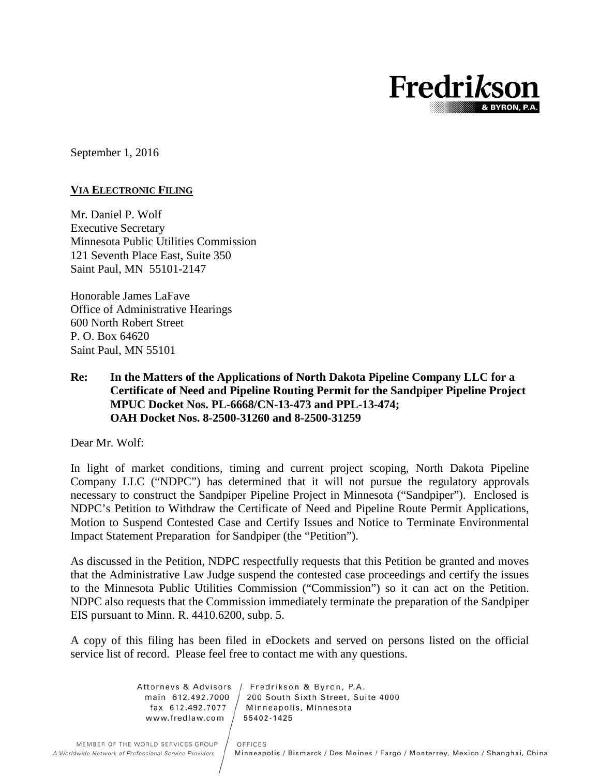

September 1, 2016

### **VIA ELECTRONIC FILING**

Mr. Daniel P. Wolf Executive Secretary Minnesota Public Utilities Commission 121 Seventh Place East, Suite 350 Saint Paul, MN 55101-2147

Honorable James LaFave Office of Administrative Hearings 600 North Robert Street P. O. Box 64620 Saint Paul, MN 55101

# **Re: In the Matters of the Applications of North Dakota Pipeline Company LLC for a Certificate of Need and Pipeline Routing Permit for the Sandpiper Pipeline Project MPUC Docket Nos. PL-6668/CN-13-473 and PPL-13-474; OAH Docket Nos. 8-2500-31260 and 8-2500-31259**

Dear Mr. Wolf:

In light of market conditions, timing and current project scoping, North Dakota Pipeline Company LLC ("NDPC") has determined that it will not pursue the regulatory approvals necessary to construct the Sandpiper Pipeline Project in Minnesota ("Sandpiper"). Enclosed is NDPC's Petition to Withdraw the Certificate of Need and Pipeline Route Permit Applications, Motion to Suspend Contested Case and Certify Issues and Notice to Terminate Environmental Impact Statement Preparation for Sandpiper (the "Petition").

As discussed in the Petition, NDPC respectfully requests that this Petition be granted and moves that the Administrative Law Judge suspend the contested case proceedings and certify the issues to the Minnesota Public Utilities Commission ("Commission") so it can act on the Petition. NDPC also requests that the Commission immediately terminate the preparation of the Sandpiper EIS pursuant to Minn. R. 4410.6200, subp. 5.

A copy of this filing has been filed in eDockets and served on persons listed on the official service list of record. Please feel free to contact me with any questions.

> Attorneys & Advisors Fredrikson & Byron, P.A. main 612.492.7000 200 South Sixth Street, Suite 4000 fax 612.492.7077 Minneapolis, Minnesota 55402-1425 www.fredlaw.com

> > OFFICES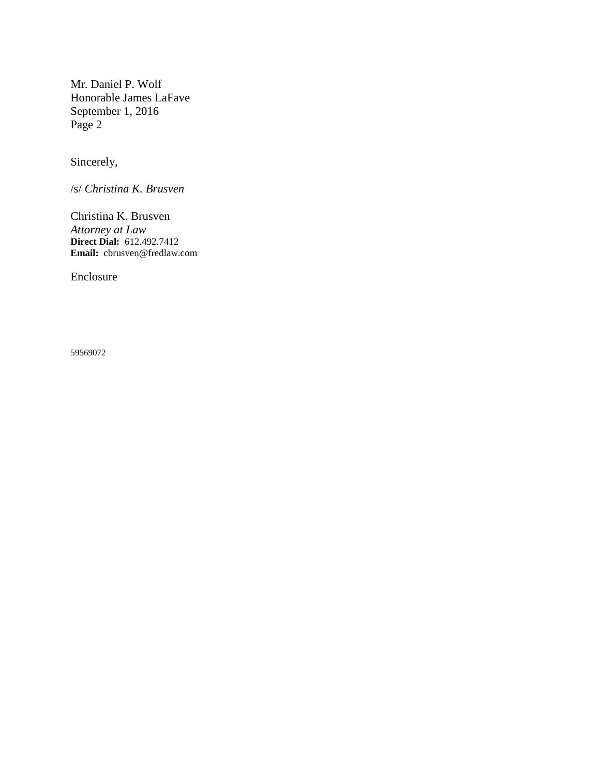Mr. Daniel P. Wolf Honorable James LaFave September 1, 2016 Page 2

Sincerely,

/s/ *Christina K. Brusven*

Christina K. Brusven *Attorney at Law* **Direct Dial:** 612.492.7412 **Email:** [cbrusven@fredlaw.com](mailto:cbrusven@fredlaw.com)

Enclosure

59569072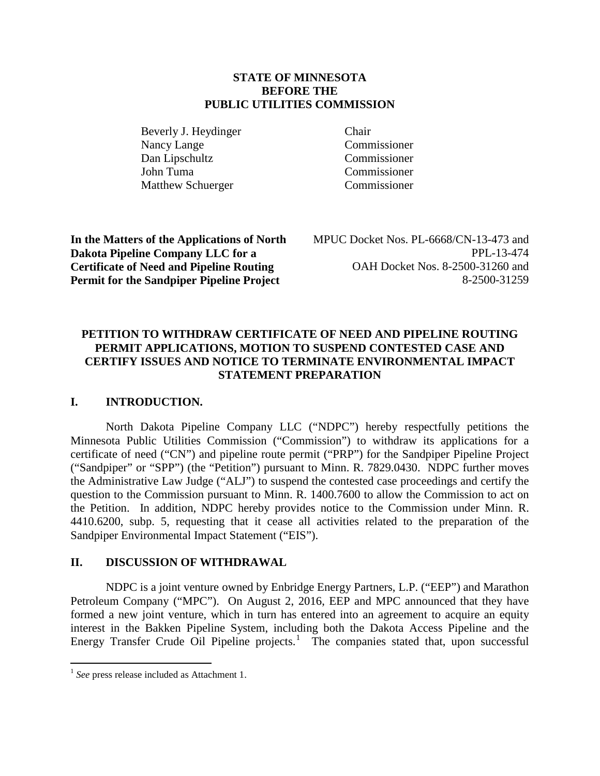# **STATE OF MINNESOTA BEFORE THE PUBLIC UTILITIES COMMISSION**

Beverly J. Heydinger Chair Nancy Lange Commissioner Dan Lipschultz Commissioner John Tuma Commissioner Matthew Schuerger Commissioner

**In the Matters of the Applications of North Dakota Pipeline Company LLC for a Certificate of Need and Pipeline Routing Permit for the Sandpiper Pipeline Project**

MPUC Docket Nos. PL-6668/CN-13-473 and PPL-13-474 OAH Docket Nos. 8-2500-31260 and 8-2500-31259

# **PETITION TO WITHDRAW CERTIFICATE OF NEED AND PIPELINE ROUTING PERMIT APPLICATIONS, MOTION TO SUSPEND CONTESTED CASE AND CERTIFY ISSUES AND NOTICE TO TERMINATE ENVIRONMENTAL IMPACT STATEMENT PREPARATION**

# **I. INTRODUCTION.**

North Dakota Pipeline Company LLC ("NDPC") hereby respectfully petitions the Minnesota Public Utilities Commission ("Commission") to withdraw its applications for a certificate of need ("CN") and pipeline route permit ("PRP") for the Sandpiper Pipeline Project ("Sandpiper" or "SPP") (the "Petition") pursuant to Minn. R. 7829.0430. NDPC further moves the Administrative Law Judge ("ALJ") to suspend the contested case proceedings and certify the question to the Commission pursuant to Minn. R. 1400.7600 to allow the Commission to act on the Petition. In addition, NDPC hereby provides notice to the Commission under Minn. R. 4410.6200, subp. 5, requesting that it cease all activities related to the preparation of the Sandpiper Environmental Impact Statement ("EIS").

# **II. DISCUSSION OF WITHDRAWAL**

NDPC is a joint venture owned by Enbridge Energy Partners, L.P. ("EEP") and Marathon Petroleum Company ("MPC"). On August 2, 2016, EEP and MPC announced that they have formed a new joint venture, which in turn has entered into an agreement to acquire an equity interest in the Bakken Pipeline System, including both the Dakota Access Pipeline and the Energy Transfer Crude Oil Pipeline projects.<sup>[1](#page-2-0)</sup> The companies stated that, upon successful

<span id="page-2-0"></span> <sup>1</sup> *See* press release included as Attachment 1.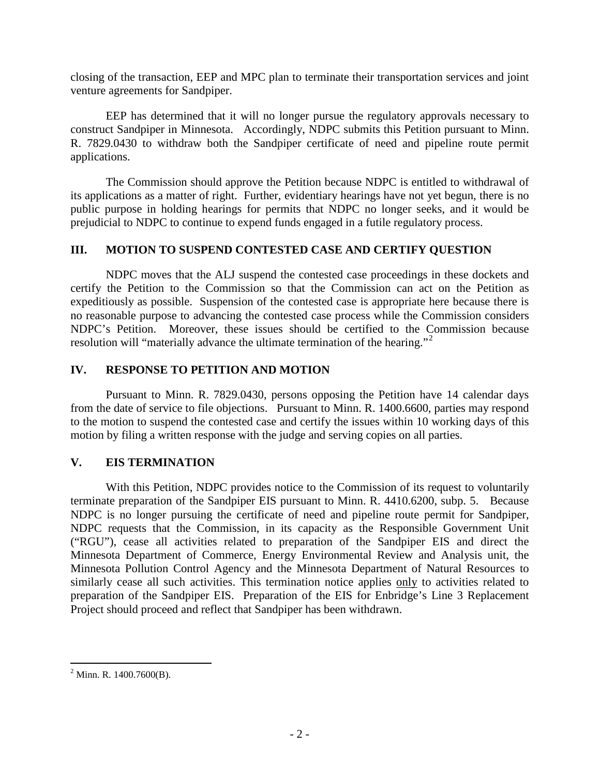closing of the transaction, EEP and MPC plan to terminate their transportation services and joint venture agreements for Sandpiper.

EEP has determined that it will no longer pursue the regulatory approvals necessary to construct Sandpiper in Minnesota. Accordingly, NDPC submits this Petition pursuant to Minn. R. 7829.0430 to withdraw both the Sandpiper certificate of need and pipeline route permit applications.

The Commission should approve the Petition because NDPC is entitled to withdrawal of its applications as a matter of right. Further, evidentiary hearings have not yet begun, there is no public purpose in holding hearings for permits that NDPC no longer seeks, and it would be prejudicial to NDPC to continue to expend funds engaged in a futile regulatory process.

# **III. MOTION TO SUSPEND CONTESTED CASE AND CERTIFY QUESTION**

NDPC moves that the ALJ suspend the contested case proceedings in these dockets and certify the Petition to the Commission so that the Commission can act on the Petition as expeditiously as possible. Suspension of the contested case is appropriate here because there is no reasonable purpose to advancing the contested case process while the Commission considers NDPC's Petition. Moreover, these issues should be certified to the Commission because resolution will "materially advance the ultimate termination of the hearing."<sup>[2](#page-3-0)</sup>

# **IV. RESPONSE TO PETITION AND MOTION**

Pursuant to Minn. R. 7829.0430, persons opposing the Petition have 14 calendar days from the date of service to file objections. Pursuant to Minn. R. 1400.6600, parties may respond to the motion to suspend the contested case and certify the issues within 10 working days of this motion by filing a written response with the judge and serving copies on all parties.

# **V. EIS TERMINATION**

With this Petition, NDPC provides notice to the Commission of its request to voluntarily terminate preparation of the Sandpiper EIS pursuant to Minn. R. 4410.6200, subp. 5. Because NDPC is no longer pursuing the certificate of need and pipeline route permit for Sandpiper, NDPC requests that the Commission, in its capacity as the Responsible Government Unit ("RGU"), cease all activities related to preparation of the Sandpiper EIS and direct the Minnesota Department of Commerce, Energy Environmental Review and Analysis unit, the Minnesota Pollution Control Agency and the Minnesota Department of Natural Resources to similarly cease all such activities. This termination notice applies only to activities related to preparation of the Sandpiper EIS. Preparation of the EIS for Enbridge's Line 3 Replacement Project should proceed and reflect that Sandpiper has been withdrawn.

<span id="page-3-0"></span> $^{2}$  Minn. R. 1400.7600(B).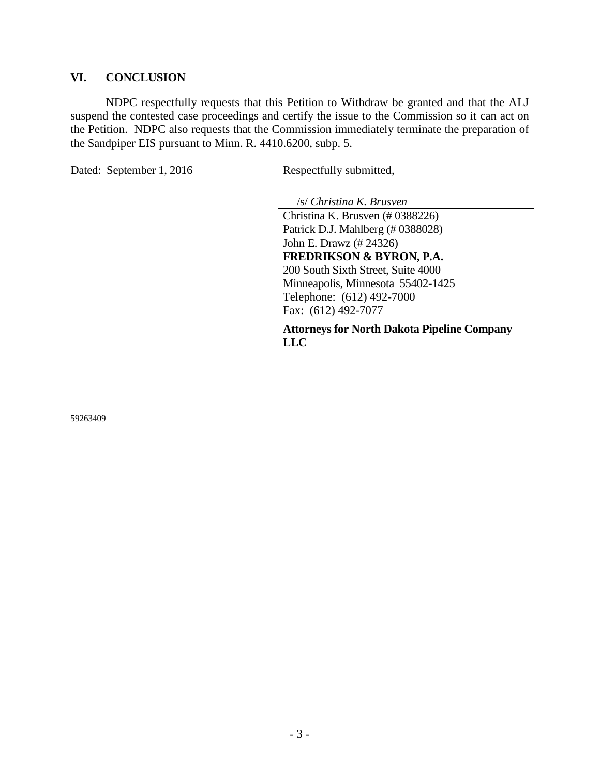### **VI. CONCLUSION**

NDPC respectfully requests that this Petition to Withdraw be granted and that the ALJ suspend the contested case proceedings and certify the issue to the Commission so it can act on the Petition. NDPC also requests that the Commission immediately terminate the preparation of the Sandpiper EIS pursuant to Minn. R. 4410.6200, subp. 5.

Dated: September 1, 2016 Respectfully submitted,

/s/ *Christina K. Brusven*

Christina K. Brusven (# 0388226) Patrick D.J. Mahlberg (# 0388028) John E. Drawz (# 24326) **FREDRIKSON & BYRON, P.A.** 200 South Sixth Street, Suite 4000 Minneapolis, Minnesota 55402-1425 Telephone: (612) 492-7000 Fax: (612) 492-7077

**Attorneys for North Dakota Pipeline Company LLC**

59263409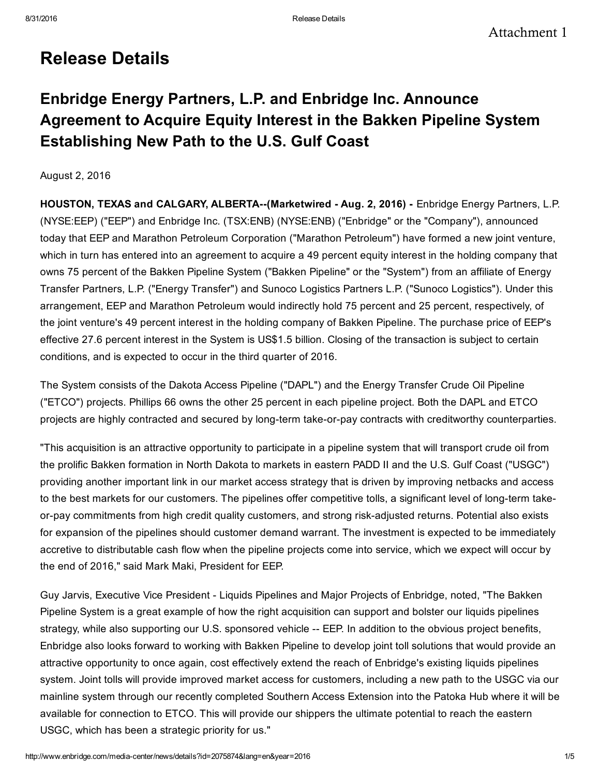# Release Details

Enbridge Energy Partners, L.P. and Enbridge Inc. Announce Agreement to Acquire Equity Interest in the Bakken Pipeline System Establishing New Path to the U.S. Gulf Coast

August 2, 2016

HOUSTON, TEXAS and CALGARY, ALBERTA--(Marketwired - Aug. 2, 2016) - Enbridge Energy Partners, L.P. (NYSE:EEP) ("EEP") and Enbridge Inc. (TSX:ENB) (NYSE:ENB) ("Enbridge" or the "Company"), announced today that EEP and Marathon Petroleum Corporation ("Marathon Petroleum") have formed a new joint venture, which in turn has entered into an agreement to acquire a 49 percent equity interest in the holding company that owns 75 percent of the Bakken Pipeline System ("Bakken Pipeline" or the "System") from an affiliate of Energy Transfer Partners, L.P. ("Energy Transfer") and Sunoco Logistics Partners L.P. ("Sunoco Logistics"). Under this arrangement, EEP and Marathon Petroleum would indirectly hold 75 percent and 25 percent, respectively, of the joint venture's 49 percent interest in the holding company of Bakken Pipeline. The purchase price of EEP's effective 27.6 percent interest in the System is US\$1.5 billion. Closing of the transaction is subject to certain conditions, and is expected to occur in the third quarter of 2016.

The System consists of the Dakota Access Pipeline ("DAPL") and the Energy Transfer Crude Oil Pipeline ("ETCO") projects. Phillips 66 owns the other 25 percent in each pipeline project. Both the DAPL and ETCO projects are highly contracted and secured by long-term take-or-pay contracts with creditworthy counterparties.

"This acquisition is an attractive opportunity to participate in a pipeline system that will transport crude oil from the prolific Bakken formation in North Dakota to markets in eastern PADD II and the U.S. Gulf Coast ("USGC") providing another important link in our market access strategy that is driven by improving netbacks and access to the best markets for our customers. The pipelines offer competitive tolls, a significant level of long-term takeor-pay commitments from high credit quality customers, and strong risk-adjusted returns. Potential also exists for expansion of the pipelines should customer demand warrant. The investment is expected to be immediately accretive to distributable cash flow when the pipeline projects come into service, which we expect will occur by the end of 2016," said Mark Maki, President for EEP.

Guy Jarvis, Executive Vice President Liquids Pipelines and Major Projects of Enbridge, noted, "The Bakken Pipeline System is a great example of how the right acquisition can support and bolster our liquids pipelines strategy, while also supporting our U.S. sponsored vehicle -- EEP. In addition to the obvious project benefits, Enbridge also looks forward to working with Bakken Pipeline to develop joint toll solutions that would provide an attractive opportunity to once again, cost effectively extend the reach of Enbridge's existing liquids pipelines system. Joint tolls will provide improved market access for customers, including a new path to the USGC via our mainline system through our recently completed Southern Access Extension into the Patoka Hub where it will be available for connection to ETCO. This will provide our shippers the ultimate potential to reach the eastern USGC, which has been a strategic priority for us."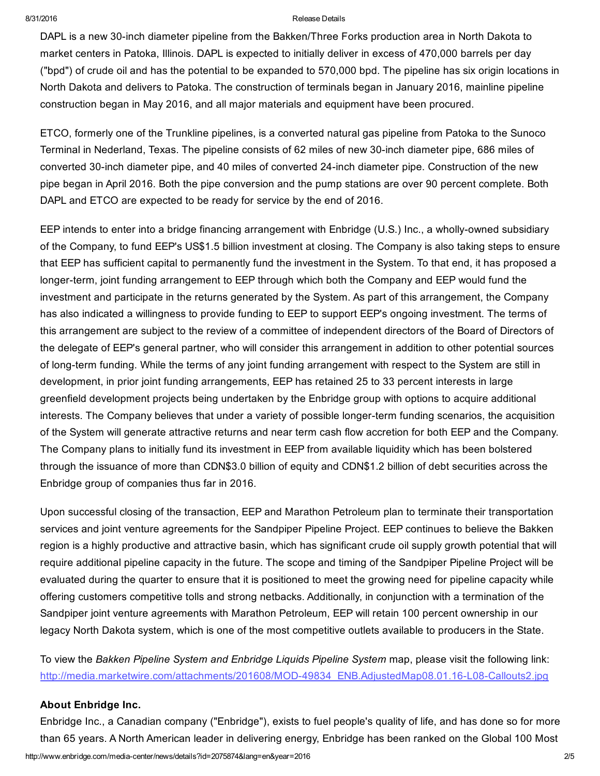#### 8/31/2016 Release Details

DAPL is a new 30-inch diameter pipeline from the Bakken/Three Forks production area in North Dakota to market centers in Patoka, Illinois. DAPL is expected to initially deliver in excess of 470,000 barrels per day ("bpd") of crude oil and has the potential to be expanded to 570,000 bpd. The pipeline has six origin locations in North Dakota and delivers to Patoka. The construction of terminals began in January 2016, mainline pipeline construction began in May 2016, and all major materials and equipment have been procured.

ETCO, formerly one of the Trunkline pipelines, is a converted natural gas pipeline from Patoka to the Sunoco Terminal in Nederland, Texas. The pipeline consists of 62 miles of new 30-inch diameter pipe, 686 miles of converted 30-inch diameter pipe, and 40 miles of converted 24-inch diameter pipe. Construction of the new pipe began in April 2016. Both the pipe conversion and the pump stations are over 90 percent complete. Both DAPL and ETCO are expected to be ready for service by the end of 2016.

EEP intends to enter into a bridge financing arrangement with Enbridge (U.S.) Inc., a wholly-owned subsidiary of the Company, to fund EEP's US\$1.5 billion investment at closing. The Company is also taking steps to ensure that EEP has sufficient capital to permanently fund the investment in the System. To that end, it has proposed a longer-term, joint funding arrangement to EEP through which both the Company and EEP would fund the investment and participate in the returns generated by the System. As part of this arrangement, the Company has also indicated a willingness to provide funding to EEP to support EEP's ongoing investment. The terms of this arrangement are subject to the review of a committee of independent directors of the Board of Directors of the delegate of EEP's general partner, who will consider this arrangement in addition to other potential sources of long-term funding. While the terms of any joint funding arrangement with respect to the System are still in development, in prior joint funding arrangements, EEP has retained 25 to 33 percent interests in large greenfield development projects being undertaken by the Enbridge group with options to acquire additional interests. The Company believes that under a variety of possible longer-term funding scenarios, the acquisition of the System will generate attractive returns and near term cash flow accretion for both EEP and the Company. The Company plans to initially fund its investment in EEP from available liquidity which has been bolstered through the issuance of more than CDN\$3.0 billion of equity and CDN\$1.2 billion of debt securities across the Enbridge group of companies thus far in 2016.

Upon successful closing of the transaction, EEP and Marathon Petroleum plan to terminate their transportation services and joint venture agreements for the Sandpiper Pipeline Project. EEP continues to believe the Bakken region is a highly productive and attractive basin, which has significant crude oil supply growth potential that will require additional pipeline capacity in the future. The scope and timing of the Sandpiper Pipeline Project will be evaluated during the quarter to ensure that it is positioned to meet the growing need for pipeline capacity while offering customers competitive tolls and strong netbacks. Additionally, in conjunction with a termination of the Sandpiper joint venture agreements with Marathon Petroleum, EEP will retain 100 percent ownership in our legacy North Dakota system, which is one of the most competitive outlets available to producers in the State.

To view the *Bakken Pipeline System and Enbridge Liquids Pipeline System* map, please visit the following link: http://media.marketwire.com/attachments/201608/MOD-49834\_ENB.AdjustedMap08.01.16-L08-Callouts2.jpg

#### About Enbridge Inc.

http://www.enbridge.com/media-center/news/details?id=2075874&lang=en&year=2016 2/5 Enbridge Inc., a Canadian company ("Enbridge"), exists to fuel people's quality of life, and has done so for more than 65 years. A North American leader in delivering energy, Enbridge has been ranked on the Global 100 Most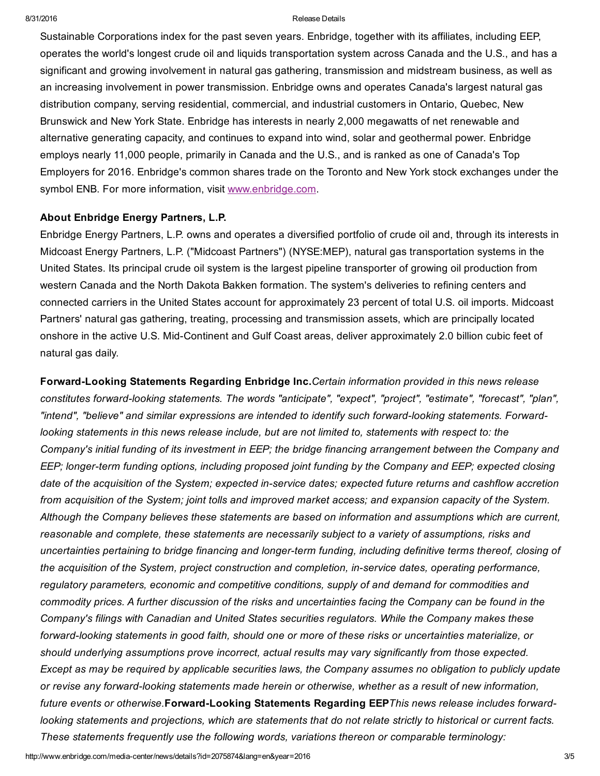#### 8/31/2016 Release Details

Sustainable Corporations index for the past seven years. Enbridge, together with its affiliates, including EEP, operates the world's longest crude oil and liquids transportation system across Canada and the U.S., and has a significant and growing involvement in natural gas gathering, transmission and midstream business, as well as an increasing involvement in power transmission. Enbridge owns and operates Canada's largest natural gas distribution company, serving residential, commercial, and industrial customers in Ontario, Quebec, New Brunswick and New York State. Enbridge has interests in nearly 2,000 megawatts of net renewable and alternative generating capacity, and continues to expand into wind, solar and geothermal power. Enbridge employs nearly 11,000 people, primarily in Canada and the U.S., and is ranked as one of Canada's Top Employers for 2016. Enbridge's common shares trade on the Toronto and New York stock exchanges under the symbol ENB. For more information, visit [www.enbridge.com.](http://www.enbridge.com/)

#### About Enbridge Energy Partners, L.P.

Enbridge Energy Partners, L.P. owns and operates a diversified portfolio of crude oil and, through its interests in Midcoast Energy Partners, L.P. ("Midcoast Partners") (NYSE:MEP), natural gas transportation systems in the United States. Its principal crude oil system is the largest pipeline transporter of growing oil production from western Canada and the North Dakota Bakken formation. The system's deliveries to refining centers and connected carriers in the United States account for approximately 23 percent of total U.S. oil imports. Midcoast Partners' natural gas gathering, treating, processing and transmission assets, which are principally located onshore in the active U.S. Mid-Continent and Gulf Coast areas, deliver approximately 2.0 billion cubic feet of natural gas daily.

ForwardLooking Statements Regarding Enbridge Inc.*Certain information provided in this news release constitutes forwardlooking statements. The words "anticipate", "expect", "project", "estimate", "forecast", "plan", "intend", "believe" and similar expressions are intended to identify such forwardlooking statements. Forwardlooking statements in this news release include, but are not limited to, statements with respect to: the Company's initial funding of its investment in EEP; the bridge financing arrangement between the Company and EEP; longerterm funding options, including proposed joint funding by the Company and EEP; expected closing date of the acquisition of the System; expected inservice dates; expected future returns and cashflow accretion* from acquisition of the System; joint tolls and improved market access; and expansion capacity of the System. *Although the Company believes these statements are based on information and assumptions which are current, reasonable and complete, these statements are necessarily subject to a variety of assumptions, risks and uncertainties pertaining to bridge financing and longerterm funding, including definitive terms thereof, closing of the acquisition of the System, project construction and completion, inservice dates, operating performance, regulatory parameters, economic and competitive conditions, supply of and demand for commodities and* commodity prices. A further discussion of the risks and uncertainties facing the Company can be found in the *Company's filings with Canadian and United States securities regulators. While the Company makes these forwardlooking statements in good faith, should one or more of these risks or uncertainties materialize, or should underlying assumptions prove incorrect, actual results may vary significantly from those expected.* Except as may be required by applicable securities laws, the Company assumes no obligation to publicly update *or revise any forwardlooking statements made herein or otherwise, whether as a result of new information,* future events or otherwise. Forward-Looking Statements Regarding EEP This news release includes forwardlooking statements and projections, which are statements that do not relate strictly to historical or current facts. *These statements frequently use the following words, variations thereon or comparable terminology:*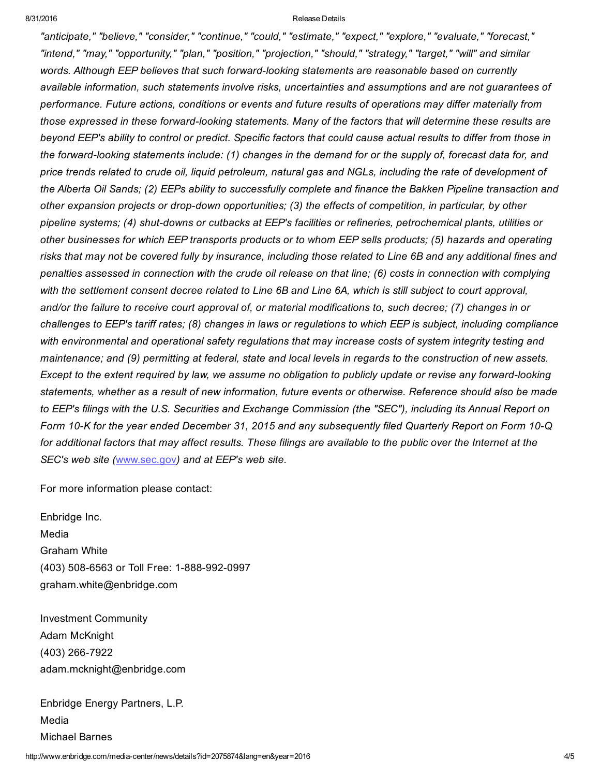#### 8/31/2016 Release Details

*"anticipate," "believe," "consider," "continue," "could," "estimate," "expect," "explore," "evaluate," "forecast," "intend," "may," "opportunity," "plan," "position," "projection," "should," "strategy," "target," "will" and similar words. Although EEP believes that such forwardlooking statements are reasonable based on currently available information, such statements involve risks, uncertainties and assumptions and are not guarantees of performance. Future actions, conditions or events and future results of operations may differ materially from those expressed in these forwardlooking statements. Many of the factors that will determine these results are* beyond EEP's ability to control or predict. Specific factors that could cause actual results to differ from those in the forward-looking statements include: (1) changes in the demand for or the supply of, forecast data for, and price trends related to crude oil, liquid petroleum, natural gas and NGLs, including the rate of development of the Alberta Oil Sands; (2) EEPs ability to successfully complete and finance the Bakken Pipeline transaction and *other expansion projects or drop-down opportunities;* (3) the *effects of competition, in particular, by other pipeline systems;* (4) *shut-downs or cutbacks* at *EEP's facilities or refineries, petrochemical plants, utilities or* other businesses for which EEP transports products or to whom EEP sells products; (5) hazards and operating risks that may not be covered fully by insurance, including those related to Line 6B and any additional fines and penalties assessed in connection with the crude oil release on that line; (6) costs in connection with complying with the settlement consent decree related to Line 6B and Line 6A, which is still subject to court approval, and/or the failure to receive court approval of, or material modifications to, such decree; (7) changes in or challenges to EEP's tariff rates; (8) changes in laws or regulations to which EEP is subject, including compliance *with environmental and operational safety regulations that may increase costs of system integrity testing and* maintenance; and (9) permitting at federal, state and local levels in regards to the construction of new assets. Except to the extent required by law, we assume no obligation to publicly update or revise any forward-looking statements, whether as a result of new information, future events or otherwise. Reference should also be made to EEP's filings with the U.S. Securities and Exchange Commission (the "SEC"), including its Annual Report on Form 10-K for the year ended December 31, 2015 and any subsequently filed Quarterly Report on Form 10-Q for additional factors that may affect results. These filings are available to the public over the Internet at the *SEC's web site (*[www.sec.gov](http://www.sec.gov/)*) and at EEP's web site.*

For more information please contact:

Enbridge Inc. Media Graham White (403) 508-6563 or Toll Free: 1-888-992-0997 graham.white@enbridge.com

Investment Community Adam McKnight (403) 266-7922 adam.mcknight@enbridge.com

Enbridge Energy Partners, L.P. Media Michael Barnes